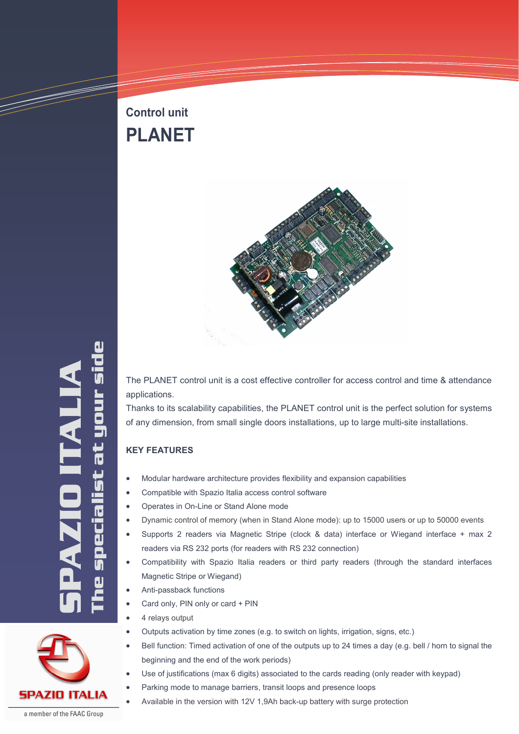# **Control unit PLANET**



The specialist at your side **SPAZIO ITALIA**<br>The specialist at your sic **TAT** 

The PLANET control unit is a cost effective controller for access control and time & attendance applications.

Thanks to its scalability capabilities, the PLANET control unit is the perfect solution for systems of any dimension, from small single doors installations, up to large multi-site installations.

## **KEY FEATURES**

- Modular hardware architecture provides flexibility and expansion capabilities
- Compatible with Spazio Italia access control software
- Operates in On-Line or Stand Alone mode
- Dynamic control of memory (when in Stand Alone mode): up to 15000 users or up to 50000 events
- Supports 2 readers via Magnetic Stripe (clock & data) interface or Wiegand interface + max 2 readers via RS 232 ports (for readers with RS 232 connection)
- Compatibility with Spazio Italia readers or third party readers (through the standard interfaces Magnetic Stripe or Wiegand)
- Anti-passback functions
- Card only, PIN only or card + PIN
- 4 relays output
- Outputs activation by time zones (e.g. to switch on lights, irrigation, signs, etc.)
- Bell function: Timed activation of one of the outputs up to 24 times a day (e.g. bell / horn to signal the beginning and the end of the work periods)
- Use of justifications (max 6 digits) associated to the cards reading (only reader with keypad)
	- Parking mode to manage barriers, transit loops and presence loops
	- Available in the version with 12V 1,9Ah back-up battery with surge protection